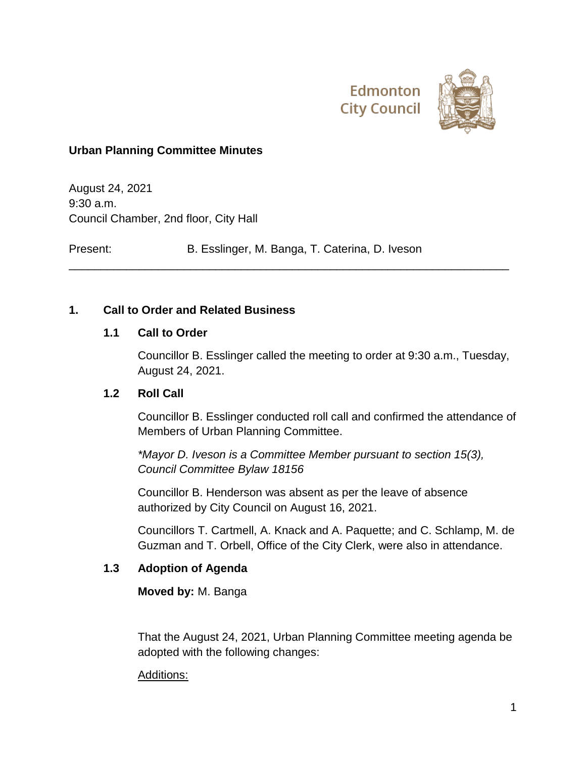

### **Urban Planning Committee Minutes**

August 24, 2021 9:30 a.m. Council Chamber, 2nd floor, City Hall

Present: B. Esslinger, M. Banga, T. Caterina, D. Iveson

\_\_\_\_\_\_\_\_\_\_\_\_\_\_\_\_\_\_\_\_\_\_\_\_\_\_\_\_\_\_\_\_\_\_\_\_\_\_\_\_\_\_\_\_\_\_\_\_\_\_\_\_\_\_\_\_\_\_\_\_\_\_\_\_\_\_\_\_\_

#### **1. Call to Order and Related Business**

#### **1.1 Call to Order**

Councillor B. Esslinger called the meeting to order at 9:30 a.m., Tuesday, August 24, 2021.

#### **1.2 Roll Call**

Councillor B. Esslinger conducted roll call and confirmed the attendance of Members of Urban Planning Committee.

*\*Mayor D. Iveson is a Committee Member pursuant to section 15(3), Council Committee Bylaw 18156*

Councillor B. Henderson was absent as per the leave of absence authorized by City Council on August 16, 2021.

Councillors T. Cartmell, A. Knack and A. Paquette; and C. Schlamp, M. de Guzman and T. Orbell, Office of the City Clerk, were also in attendance.

#### **1.3 Adoption of Agenda**

**Moved by:** M. Banga

That the August 24, 2021, Urban Planning Committee meeting agenda be adopted with the following changes:

#### Additions: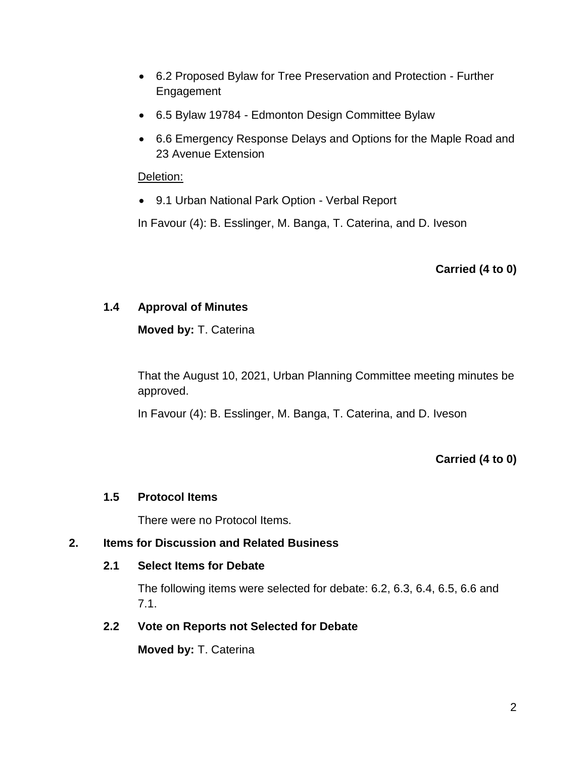- 6.2 Proposed Bylaw for Tree Preservation and Protection Further Engagement
- 6.5 Bylaw 19784 Edmonton Design Committee Bylaw
- 6.6 Emergency Response Delays and Options for the Maple Road and 23 Avenue Extension

#### Deletion:

9.1 Urban National Park Option - Verbal Report

In Favour (4): B. Esslinger, M. Banga, T. Caterina, and D. Iveson

**Carried (4 to 0)**

## **1.4 Approval of Minutes**

**Moved by:** T. Caterina

That the August 10, 2021, Urban Planning Committee meeting minutes be approved.

In Favour (4): B. Esslinger, M. Banga, T. Caterina, and D. Iveson

**Carried (4 to 0)**

## **1.5 Protocol Items**

There were no Protocol Items.

## **2. Items for Discussion and Related Business**

#### **2.1 Select Items for Debate**

The following items were selected for debate: 6.2, 6.3, 6.4, 6.5, 6.6 and 7.1.

#### **2.2 Vote on Reports not Selected for Debate**

**Moved by:** T. Caterina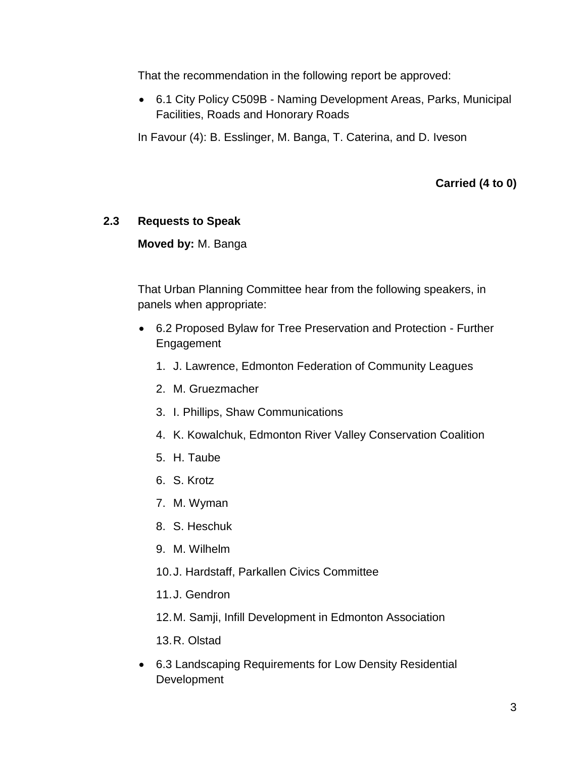That the recommendation in the following report be approved:

 6.1 City Policy C509B - Naming Development Areas, Parks, Municipal Facilities, Roads and Honorary Roads

In Favour (4): B. Esslinger, M. Banga, T. Caterina, and D. Iveson

**Carried (4 to 0)**

## **2.3 Requests to Speak**

**Moved by:** M. Banga

That Urban Planning Committee hear from the following speakers, in panels when appropriate:

- 6.2 Proposed Bylaw for Tree Preservation and Protection Further Engagement
	- 1. J. Lawrence, Edmonton Federation of Community Leagues
	- 2. M. Gruezmacher
	- 3. I. Phillips, Shaw Communications
	- 4. K. Kowalchuk, Edmonton River Valley Conservation Coalition
	- 5. H. Taube
	- 6. S. Krotz
	- 7. M. Wyman
	- 8. S. Heschuk
	- 9. M. Wilhelm
	- 10.J. Hardstaff, Parkallen Civics Committee
	- 11.J. Gendron
	- 12.M. Samji, Infill Development in Edmonton Association

13.R. Olstad

 6.3 Landscaping Requirements for Low Density Residential **Development**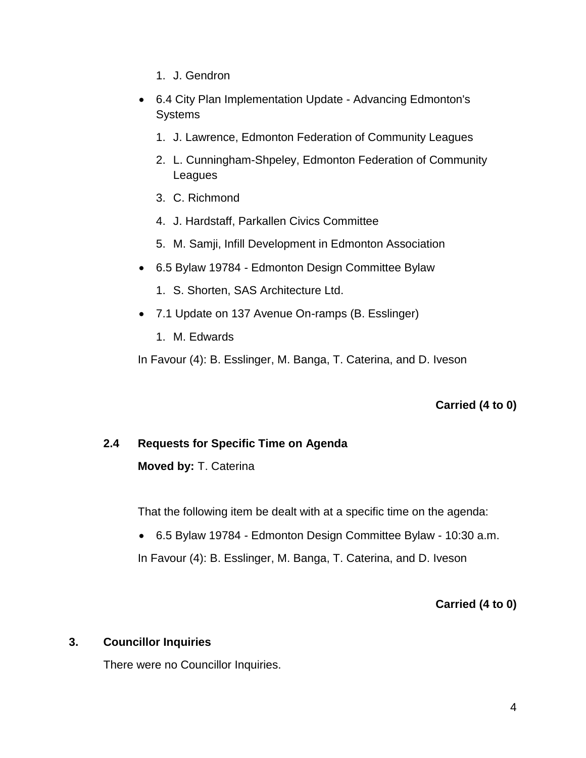- 1. J. Gendron
- 6.4 City Plan Implementation Update Advancing Edmonton's **Systems** 
	- 1. J. Lawrence, Edmonton Federation of Community Leagues
	- 2. L. Cunningham-Shpeley, Edmonton Federation of Community Leagues
	- 3. C. Richmond
	- 4. J. Hardstaff, Parkallen Civics Committee
	- 5. M. Samji, Infill Development in Edmonton Association
- 6.5 Bylaw 19784 Edmonton Design Committee Bylaw
	- 1. S. Shorten, SAS Architecture Ltd.
- 7.1 Update on 137 Avenue On-ramps (B. Esslinger)
	- 1. M. Edwards

In Favour (4): B. Esslinger, M. Banga, T. Caterina, and D. Iveson

**Carried (4 to 0)**

## **2.4 Requests for Specific Time on Agenda**

**Moved by:** T. Caterina

That the following item be dealt with at a specific time on the agenda:

6.5 Bylaw 19784 - Edmonton Design Committee Bylaw - 10:30 a.m.

In Favour (4): B. Esslinger, M. Banga, T. Caterina, and D. Iveson

**Carried (4 to 0)**

#### **3. Councillor Inquiries**

There were no Councillor Inquiries.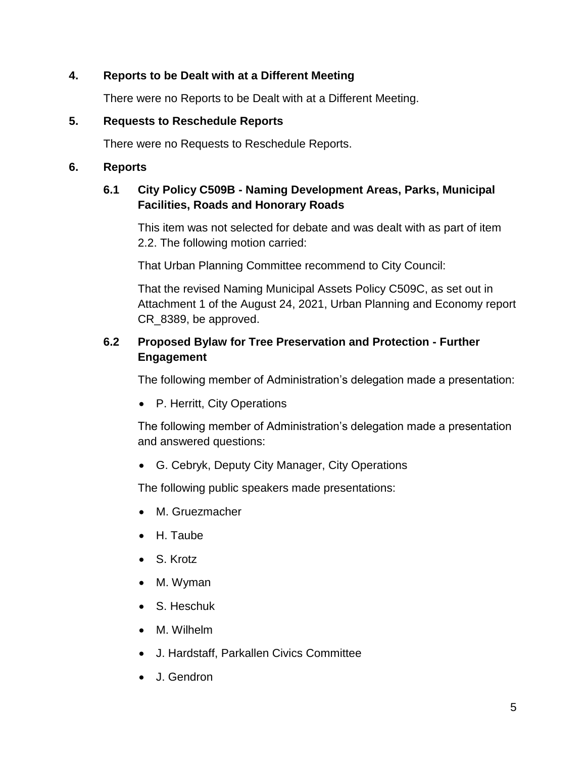## **4. Reports to be Dealt with at a Different Meeting**

There were no Reports to be Dealt with at a Different Meeting.

#### **5. Requests to Reschedule Reports**

There were no Requests to Reschedule Reports.

#### **6. Reports**

## **6.1 City Policy C509B - Naming Development Areas, Parks, Municipal Facilities, Roads and Honorary Roads**

This item was not selected for debate and was dealt with as part of item 2.2. The following motion carried:

That Urban Planning Committee recommend to City Council:

That the revised Naming Municipal Assets Policy C509C, as set out in Attachment 1 of the August 24, 2021, Urban Planning and Economy report CR\_8389, be approved.

## **6.2 Proposed Bylaw for Tree Preservation and Protection - Further Engagement**

The following member of Administration's delegation made a presentation:

P. Herritt, City Operations

The following member of Administration's delegation made a presentation and answered questions:

G. Cebryk, Deputy City Manager, City Operations

The following public speakers made presentations:

- M. Gruezmacher
- H. Taube
- S. Krotz
- M. Wyman
- S. Heschuk
- M. Wilhelm
- J. Hardstaff, Parkallen Civics Committee
- J. Gendron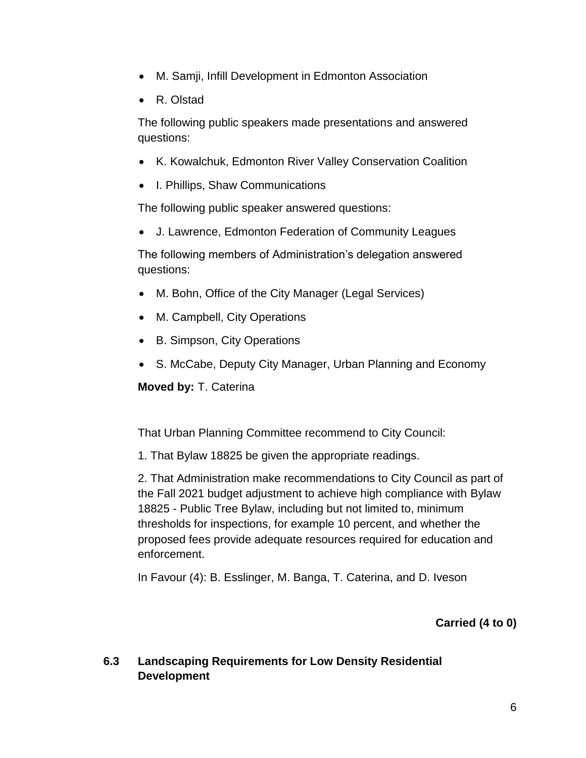- M. Samji, Infill Development in Edmonton Association
- R. Olstad

The following public speakers made presentations and answered questions:

- K. Kowalchuk, Edmonton River Valley Conservation Coalition
- I. Phillips, Shaw Communications

The following public speaker answered questions:

J. Lawrence, Edmonton Federation of Community Leagues

The following members of Administration's delegation answered questions:

- M. Bohn, Office of the City Manager (Legal Services)
- M. Campbell, City Operations
- B. Simpson, City Operations
- S. McCabe, Deputy City Manager, Urban Planning and Economy

**Moved by:** T. Caterina

That Urban Planning Committee recommend to City Council:

1. That Bylaw 18825 be given the appropriate readings.

2. That Administration make recommendations to City Council as part of the Fall 2021 budget adjustment to achieve high compliance with Bylaw 18825 - Public Tree Bylaw, including but not limited to, minimum thresholds for inspections, for example 10 percent, and whether the proposed fees provide adequate resources required for education and enforcement.

In Favour (4): B. Esslinger, M. Banga, T. Caterina, and D. Iveson

## **Carried (4 to 0)**

## **6.3 Landscaping Requirements for Low Density Residential Development**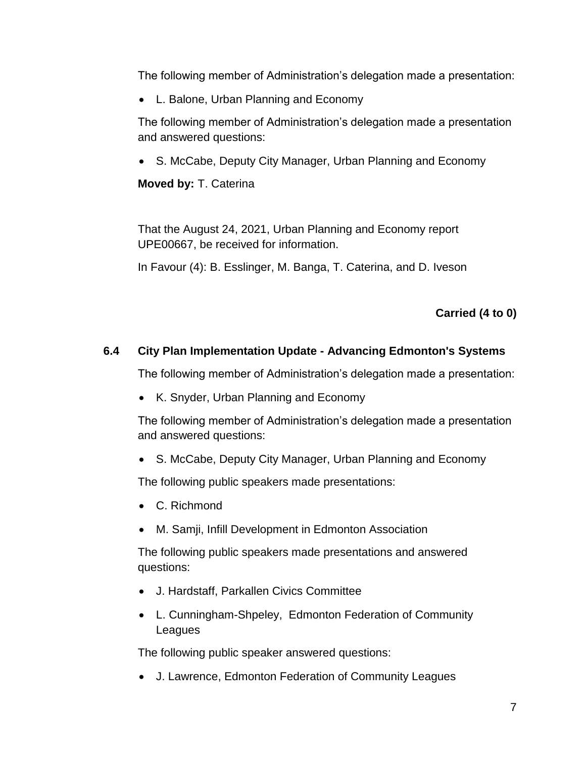The following member of Administration's delegation made a presentation:

L. Balone, Urban Planning and Economy

The following member of Administration's delegation made a presentation and answered questions:

S. McCabe, Deputy City Manager, Urban Planning and Economy

**Moved by:** T. Caterina

That the August 24, 2021, Urban Planning and Economy report UPE00667, be received for information.

In Favour (4): B. Esslinger, M. Banga, T. Caterina, and D. Iveson

**Carried (4 to 0)**

## **6.4 City Plan Implementation Update - Advancing Edmonton's Systems**

The following member of Administration's delegation made a presentation:

• K. Snyder, Urban Planning and Economy

The following member of Administration's delegation made a presentation and answered questions:

• S. McCabe, Deputy City Manager, Urban Planning and Economy

The following public speakers made presentations:

- C. Richmond
- M. Samji, Infill Development in Edmonton Association

The following public speakers made presentations and answered questions:

- J. Hardstaff, Parkallen Civics Committee
- L. Cunningham-Shpeley, Edmonton Federation of Community Leagues

The following public speaker answered questions:

J. Lawrence, Edmonton Federation of Community Leagues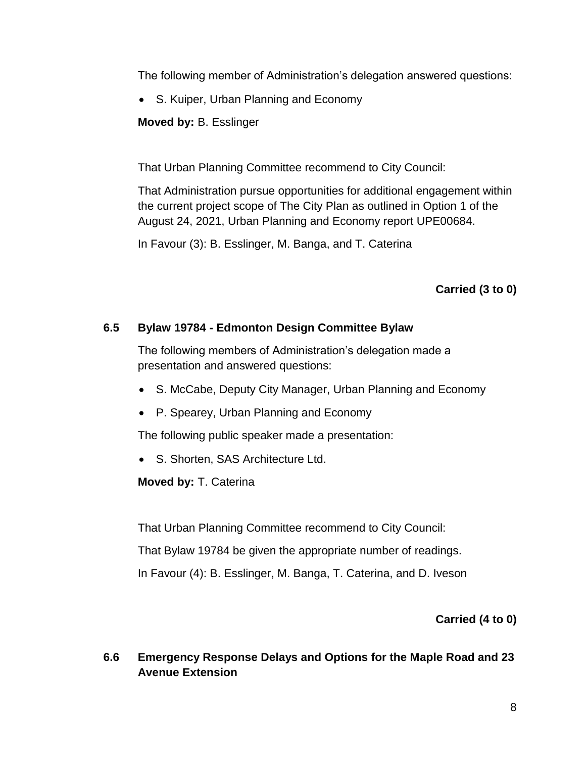The following member of Administration's delegation answered questions:

S. Kuiper, Urban Planning and Economy

**Moved by:** B. Esslinger

That Urban Planning Committee recommend to City Council:

That Administration pursue opportunities for additional engagement within the current project scope of The City Plan as outlined in Option 1 of the August 24, 2021, Urban Planning and Economy report UPE00684.

In Favour (3): B. Esslinger, M. Banga, and T. Caterina

# **Carried (3 to 0)**

## **6.5 Bylaw 19784 - Edmonton Design Committee Bylaw**

The following members of Administration's delegation made a presentation and answered questions:

- S. McCabe, Deputy City Manager, Urban Planning and Economy
- P. Spearey, Urban Planning and Economy

The following public speaker made a presentation:

S. Shorten, SAS Architecture Ltd.

**Moved by:** T. Caterina

That Urban Planning Committee recommend to City Council:

That Bylaw 19784 be given the appropriate number of readings.

In Favour (4): B. Esslinger, M. Banga, T. Caterina, and D. Iveson

## **Carried (4 to 0)**

## **6.6 Emergency Response Delays and Options for the Maple Road and 23 Avenue Extension**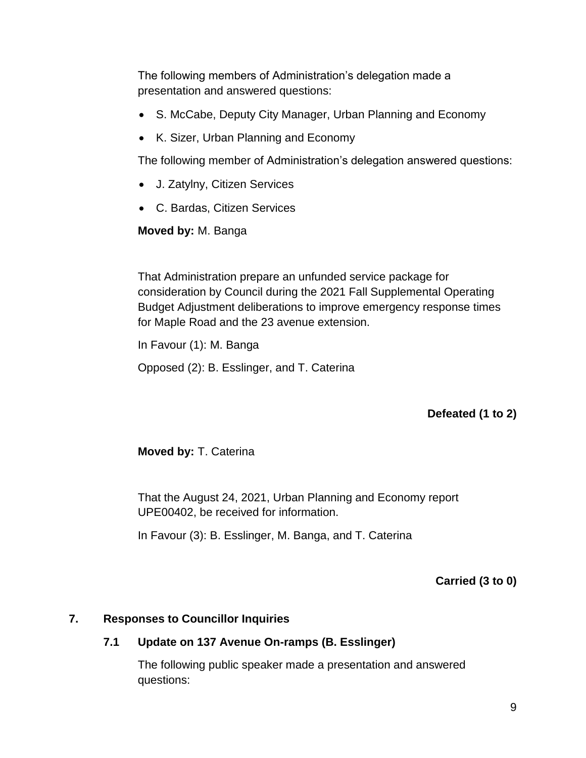The following members of Administration's delegation made a presentation and answered questions:

- S. McCabe, Deputy City Manager, Urban Planning and Economy
- K. Sizer, Urban Planning and Economy

The following member of Administration's delegation answered questions:

- J. Zatylny, Citizen Services
- C. Bardas, Citizen Services

**Moved by:** M. Banga

That Administration prepare an unfunded service package for consideration by Council during the 2021 Fall Supplemental Operating Budget Adjustment deliberations to improve emergency response times for Maple Road and the 23 avenue extension.

In Favour (1): M. Banga

Opposed (2): B. Esslinger, and T. Caterina

# **Defeated (1 to 2)**

**Moved by:** T. Caterina

That the August 24, 2021, Urban Planning and Economy report UPE00402, be received for information.

In Favour (3): B. Esslinger, M. Banga, and T. Caterina

**Carried (3 to 0)**

## **7. Responses to Councillor Inquiries**

## **7.1 Update on 137 Avenue On-ramps (B. Esslinger)**

The following public speaker made a presentation and answered questions: